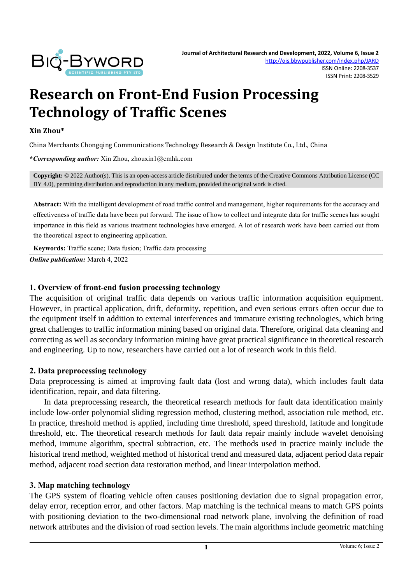

# **Research on Front-End Fusion Processing Technology of Traffic Scenes**

#### **Xin Zhou\***

China Merchants Chongqing Communications Technology Research & Design Institute Co., Ltd., China

**\****Corresponding author:* Xin Zhou, zhouxin1@cmhk.com

**Copyright:** © 2022 Author(s). This is an open-access article distributed under the terms of th[e Creative Commons Attribution License \(CC](https://creativecommons.org/licenses/by/4.0/)  [BY 4.0\),](https://creativecommons.org/licenses/by/4.0/) permitting distribution and reproduction in any medium, provided the original work is cited.

**Abstract:** With the intelligent development of road traffic control and management, higher requirements for the accuracy and effectiveness of traffic data have been put forward. The issue of how to collect and integrate data for traffic scenes has sought importance in this field as various treatment technologies have emerged. A lot of research work have been carried out from the theoretical aspect to engineering application.

**Keywords:** Traffic scene; Data fusion; Traffic data processing

*Online publication:* March 4, 2022

#### **1. Overview of front-end fusion processing technology**

The acquisition of original traffic data depends on various traffic information acquisition equipment. However, in practical application, drift, deformity, repetition, and even serious errors often occur due to the equipment itself in addition to external interferences and immature existing technologies, which bring great challenges to traffic information mining based on original data. Therefore, original data cleaning and correcting as well as secondary information mining have great practical significance in theoretical research and engineering. Up to now, researchers have carried out a lot of research work in this field.

#### **2. Data preprocessing technology**

Data preprocessing is aimed at improving fault data (lost and wrong data), which includes fault data identification, repair, and data filtering.

In data preprocessing research, the theoretical research methods for fault data identification mainly include low-order polynomial sliding regression method, clustering method, association rule method, etc. In practice, threshold method is applied, including time threshold, speed threshold, latitude and longitude threshold, etc. The theoretical research methods for fault data repair mainly include wavelet denoising method, immune algorithm, spectral subtraction, etc. The methods used in practice mainly include the historical trend method, weighted method of historical trend and measured data, adjacent period data repair method, adjacent road section data restoration method, and linear interpolation method.

#### **3. Map matching technology**

The GPS system of floating vehicle often causes positioning deviation due to signal propagation error, delay error, reception error, and other factors. Map matching is the technical means to match GPS points with positioning deviation to the two-dimensional road network plane, involving the definition of road network attributes and the division of road section levels. The main algorithms include geometric matching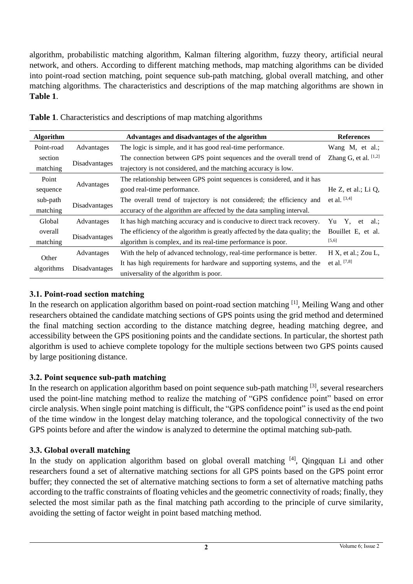algorithm, probabilistic matching algorithm, Kalman filtering algorithm, fuzzy theory, artificial neural network, and others. According to different matching methods, map matching algorithms can be divided into point-road section matching, point sequence sub-path matching, global overall matching, and other matching algorithms. The characteristics and descriptions of the map matching algorithms are shown in **Table 1**.

| <b>Algorithm</b>    |               | Advantages and disadvantages of the algorithm                                | <b>References</b>         |
|---------------------|---------------|------------------------------------------------------------------------------|---------------------------|
| Point-road          | Advantages    | The logic is simple, and it has good real-time performance.                  | Wang M, et al.;           |
| section             |               | The connection between GPS point sequences and the overall trend of          | Zhang G, et al. $[1,2]$   |
| matching            | Disadvantages | trajectory is not considered, and the matching accuracy is low.              |                           |
| Point               |               | The relationship between GPS point sequences is considered, and it has       |                           |
| sequence            | Advantages    | good real-time performance.                                                  | He $Z$ , et al.; Li $Q$ , |
| sub-path            |               | The overall trend of trajectory is not considered; the efficiency and        | et al. [3,4]              |
| matching            | Disadvantages | accuracy of the algorithm are affected by the data sampling interval.        |                           |
| Global              | Advantages    | It has high matching accuracy and is conducive to direct track recovery.     | Yu Y.<br>et al.:          |
| overall             |               | The efficiency of the algorithm is greatly affected by the data quality; the | Bouillet E, et al.        |
| matching            | Disadvantages | algorithm is complex, and its real-time performance is poor.                 | [5,6]                     |
| Other<br>algorithms | Advantages    | With the help of advanced technology, real-time performance is better.       | $H X$ , et al.; Zou L,    |
|                     |               | It has high requirements for hardware and supporting systems, and the        | et al. [7,8]              |
|                     | Disadvantages | universality of the algorithm is poor.                                       |                           |

|  | <b>Table 1.</b> Characteristics and descriptions of map matching algorithms |  |  |  |  |  |
|--|-----------------------------------------------------------------------------|--|--|--|--|--|
|--|-----------------------------------------------------------------------------|--|--|--|--|--|

## **3.1. Point-road section matching**

In the research on application algorithm based on point-road section matching <sup>[1]</sup>, Meiling Wang and other researchers obtained the candidate matching sections of GPS points using the grid method and determined the final matching section according to the distance matching degree, heading matching degree, and accessibility between the GPS positioning points and the candidate sections. In particular, the shortest path algorithm is used to achieve complete topology for the multiple sections between two GPS points caused by large positioning distance.

# **3.2. Point sequence sub-path matching**

In the research on application algorithm based on point sequence sub-path matching  $[3]$ , several researchers used the point-line matching method to realize the matching of "GPS confidence point" based on error circle analysis. When single point matching is difficult, the "GPS confidence point" is used as the end point of the time window in the longest delay matching tolerance, and the topological connectivity of the two GPS points before and after the window is analyzed to determine the optimal matching sub-path.

# **3.3. Global overall matching**

In the study on application algorithm based on global overall matching  $[4]$ . Oingquan Li and other researchers found a set of alternative matching sections for all GPS points based on the GPS point error buffer; they connected the set of alternative matching sections to form a set of alternative matching paths according to the traffic constraints of floating vehicles and the geometric connectivity of roads; finally, they selected the most similar path as the final matching path according to the principle of curve similarity, avoiding the setting of factor weight in point based matching method.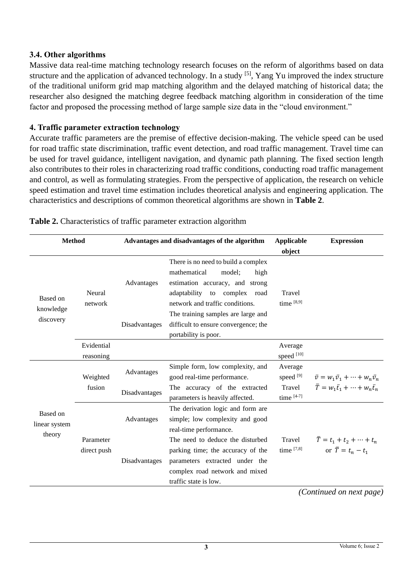#### **3.4. Other algorithms**

Massive data real-time matching technology research focuses on the reform of algorithms based on data structure and the application of advanced technology. In a study [5], Yang Yu improved the index structure of the traditional uniform grid map matching algorithm and the delayed matching of historical data; the researcher also designed the matching degree feedback matching algorithm in consideration of the time factor and proposed the processing method of large sample size data in the "cloud environment."

#### **4. Traffic parameter extraction technology**

Accurate traffic parameters are the premise of effective decision-making. The vehicle speed can be used for road traffic state discrimination, traffic event detection, and road traffic management. Travel time can be used for travel guidance, intelligent navigation, and dynamic path planning. The fixed section length also contributes to their roles in characterizing road traffic conditions, conducting road traffic management and control, as well as formulating strategies. From the perspective of application, the research on vehicle speed estimation and travel time estimation includes theoretical analysis and engineering application. The characteristics and descriptions of common theoretical algorithms are shown in **Table 2**.

| <b>Method</b>                       |                          |                             | Advantages and disadvantages of the algorithm<br><b>Applicable</b><br>object                                                                                                |                                                  | <b>Expression</b>                                                                                        |
|-------------------------------------|--------------------------|-----------------------------|-----------------------------------------------------------------------------------------------------------------------------------------------------------------------------|--------------------------------------------------|----------------------------------------------------------------------------------------------------------|
| Based on<br>knowledge<br>discovery  | Neural<br>network        | Advantages                  | There is no need to build a complex<br>mathematical<br>model;<br>high<br>estimation accuracy, and strong<br>adaptability to complex road<br>network and traffic conditions. | Travel<br>time $[8,9]$                           |                                                                                                          |
|                                     |                          | Disadvantages               | The training samples are large and<br>difficult to ensure convergence; the<br>portability is poor.                                                                          |                                                  |                                                                                                          |
|                                     | Evidential<br>reasoning  |                             |                                                                                                                                                                             | Average<br>speed [10]                            |                                                                                                          |
| Based on<br>linear system<br>theory | Weighted<br>fusion       | Advantages<br>Disadvantages | Simple form, low complexity, and<br>good real-time performance.<br>The accuracy of the extracted<br>parameters is heavily affected.                                         | Average<br>speed $[9]$<br>Travel<br>time $[4-7]$ | $\bar{v} = w_1 \bar{v}_1 + \cdots + w_n \bar{v}_n$<br>$\bar{T} = w_1 \bar{t}_1 + \cdots + w_n \bar{t}_n$ |
|                                     |                          | Advantages                  | The derivation logic and form are<br>simple; low complexity and good<br>real-time performance.                                                                              |                                                  |                                                                                                          |
|                                     | Parameter<br>direct push | Disadvantages               | The need to deduce the disturbed<br>parking time; the accuracy of the<br>parameters extracted under the<br>complex road network and mixed<br>traffic state is low.          | Travel<br>time $[7,8]$                           | $\bar{T} = t_1 + t_2 + \cdots + t_n$<br>or $\overline{T} = t_n - t_1$                                    |

**Table 2.** Characteristics of traffic parameter extraction algorithm

*(Continued on next page)*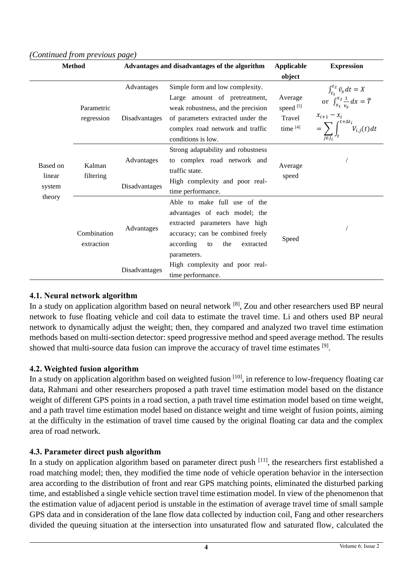| <b>Method</b>                          |                           |                             | Advantages and disadvantages of the algorithm                                                                                                                                                         | <b>Applicable</b><br>object                | <b>Expression</b>                                                                                                               |
|----------------------------------------|---------------------------|-----------------------------|-------------------------------------------------------------------------------------------------------------------------------------------------------------------------------------------------------|--------------------------------------------|---------------------------------------------------------------------------------------------------------------------------------|
| Based on<br>linear<br>system<br>theory | Parametric<br>regression  | Advantages<br>Disadvantages | Simple form and low complexity.<br>Large amount of pretreatment,<br>weak robustness, and the precision<br>of parameters extracted under the<br>complex road network and traffic<br>conditions is low. | Average<br>speed [5]<br>Travel<br>time [4] | $\int_{t_1}^{t_2} \bar{v}_x dt = X$<br>or $\int_{x_1}^{x_2} \frac{1}{v_x} dx = \bar{T}$<br>$x_{i+1} - x_i$<br>$rt + \Delta t_i$ |
|                                        | Kalman<br>filtering       | Advantages<br>Disadvantages | Strong adaptability and robustness<br>to complex road network and<br>traffic state.<br>High complexity and poor real-<br>time performance.                                                            | Average<br>speed                           |                                                                                                                                 |
|                                        | Combination<br>extraction | Advantages                  | Able to make full use of the<br>advantages of each model; the<br>extracted parameters have high<br>accuracy; can be combined freely<br>according<br>the<br>to<br>extracted<br>parameters.             | Speed                                      |                                                                                                                                 |
|                                        |                           | Disadvantages               | High complexity and poor real-<br>time performance.                                                                                                                                                   |                                            |                                                                                                                                 |

#### *(Continued from previous page)*

#### **4.1. Neural network algorithm**

In a study on application algorithm based on neural network [8], Zou and other researchers used BP neural network to fuse floating vehicle and coil data to estimate the travel time. Li and others used BP neural network to dynamically adjust the weight; then, they compared and analyzed two travel time estimation methods based on multi-section detector: speed progressive method and speed average method. The results showed that multi-source data fusion can improve the accuracy of travel time estimates <sup>[9]</sup>.

#### **4.2. Weighted fusion algorithm**

In a study on application algorithm based on weighted fusion  $[10]$ , in reference to low-frequency floating car data, Rahmani and other researchers proposed a path travel time estimation model based on the distance weight of different GPS points in a road section, a path travel time estimation model based on time weight, and a path travel time estimation model based on distance weight and time weight of fusion points, aiming at the difficulty in the estimation of travel time caused by the original floating car data and the complex area of road network.

## **4.3. Parameter direct push algorithm**

In a study on application algorithm based on parameter direct push <sup>[11]</sup>, the researchers first established a road matching model; then, they modified the time node of vehicle operation behavior in the intersection area according to the distribution of front and rear GPS matching points, eliminated the disturbed parking time, and established a single vehicle section travel time estimation model. In view of the phenomenon that the estimation value of adjacent period is unstable in the estimation of average travel time of small sample GPS data and in consideration of the lane flow data collected by induction coil, Fang and other researchers divided the queuing situation at the intersection into unsaturated flow and saturated flow, calculated the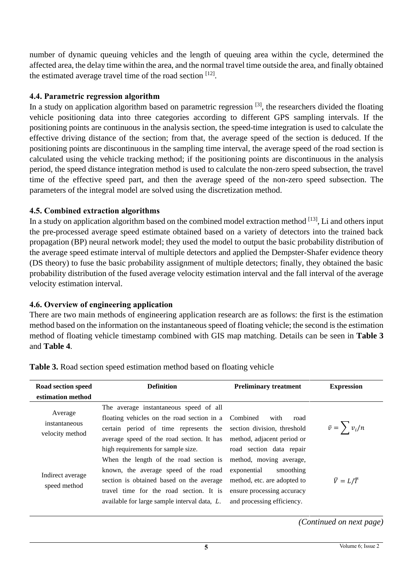number of dynamic queuing vehicles and the length of queuing area within the cycle, determined the affected area, the delay time within the area, and the normal travel time outside the area, and finally obtained the estimated average travel time of the road section [12].

#### **4.4. Parametric regression algorithm**

In a study on application algorithm based on parametric regression  $[3]$ , the researchers divided the floating vehicle positioning data into three categories according to different GPS sampling intervals. If the positioning points are continuous in the analysis section, the speed-time integration is used to calculate the effective driving distance of the section; from that, the average speed of the section is deduced. If the positioning points are discontinuous in the sampling time interval, the average speed of the road section is calculated using the vehicle tracking method; if the positioning points are discontinuous in the analysis period, the speed distance integration method is used to calculate the non-zero speed subsection, the travel time of the effective speed part, and then the average speed of the non-zero speed subsection. The parameters of the integral model are solved using the discretization method.

## **4.5. Combined extraction algorithms**

In a study on application algorithm based on the combined model extraction method  $[13]$ , Li and others input the pre-processed average speed estimate obtained based on a variety of detectors into the trained back propagation (BP) neural network model; they used the model to output the basic probability distribution of the average speed estimate interval of multiple detectors and applied the Dempster-Shafer evidence theory (DS theory) to fuse the basic probability assignment of multiple detectors; finally, they obtained the basic probability distribution of the fused average velocity estimation interval and the fall interval of the average velocity estimation interval.

## **4.6. Overview of engineering application**

There are two main methods of engineering application research are as follows: the first is the estimation method based on the information on the instantaneous speed of floating vehicle; the second is the estimation method of floating vehicle timestamp combined with GIS map matching. Details can be seen in **Table 3** and **Table 4**.

| Road section speed<br>estimation method     | <b>Definition</b>                                                                                                                                                                                                                                           | <b>Preliminary treatment</b>                                                                                                                                               | <b>Expression</b>      |
|---------------------------------------------|-------------------------------------------------------------------------------------------------------------------------------------------------------------------------------------------------------------------------------------------------------------|----------------------------------------------------------------------------------------------------------------------------------------------------------------------------|------------------------|
| Average<br>instantaneous<br>velocity method | The average instantaneous speed of all<br>floating vehicles on the road section in a Combined<br>certain period of time represents the section division, threshold<br>average speed of the road section. It has method, adjacent period or                  | with<br>road                                                                                                                                                               | $\bar{v} = \sum v_i/n$ |
| Indirect average<br>speed method            | high requirements for sample size.<br>When the length of the road section is<br>known, the average speed of the road<br>section is obtained based on the average<br>travel time for the road section. It is<br>available for large sample interval data, L. | road section data repair<br>method, moving average,<br>exponential<br>smoothing<br>method, etc. are adopted to<br>ensure processing accuracy<br>and processing efficiency. | $\bar{V}=L/\bar{T}$    |

**Table 3.** Road section speed estimation method based on floating vehicle

*(Continued on next page)*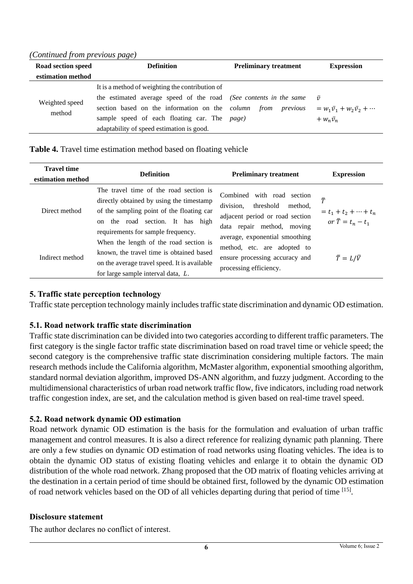*(Continued from previous page)* 

| Road section speed | <b>Definition</b>                                                 | <b>Preliminary treatment</b> | <b>Expression</b>                          |
|--------------------|-------------------------------------------------------------------|------------------------------|--------------------------------------------|
| estimation method  |                                                                   |                              |                                            |
|                    | It is a method of weighting the contribution of                   |                              |                                            |
| Weighted speed     | the estimated average speed of the road (See contents in the same |                              | $\bar{v}$                                  |
| method             | section based on the information on the <i>column</i> from        | previous                     | $= w_1 \bar{v}_1 + w_2 \bar{v}_2 + \cdots$ |
|                    | sample speed of each floating car. The page)                      |                              | $+ w_n \bar{v}_n$                          |
|                    | adaptability of speed estimation is good.                         |                              |                                            |

#### **Table 4.** Travel time estimation method based on floating vehicle

| <b>Travel time</b><br>estimation method | <b>Definition</b>                                                                                                                                                                                         | <b>Preliminary treatment</b>                                                                                                  | <b>Expression</b>                                                     |
|-----------------------------------------|-----------------------------------------------------------------------------------------------------------------------------------------------------------------------------------------------------------|-------------------------------------------------------------------------------------------------------------------------------|-----------------------------------------------------------------------|
| Direct method                           | The travel time of the road section is<br>directly obtained by using the timestamp<br>of the sampling point of the floating car<br>on the road section. It has high<br>requirements for sample frequency. | Combined with road section<br>division,<br>threshold method.<br>adjacent period or road section<br>data repair method, moving | $\bar{T}$<br>= $t_1 + t_2 + \cdots + t_n$<br>or $\bar{T} = t_n - t_1$ |
| Indirect method                         | When the length of the road section is<br>known, the travel time is obtained based<br>on the average travel speed. It is available<br>for large sample interval data, L.                                  | average, exponential smoothing<br>method, etc. are adopted to<br>ensure processing accuracy and<br>processing efficiency.     | $\bar{T}=L/\bar{V}$                                                   |

## **5. Traffic state perception technology**

Traffic state perception technology mainly includes traffic state discrimination and dynamic OD estimation.

## **5.1. Road network traffic state discrimination**

Traffic state discrimination can be divided into two categories according to different traffic parameters. The first category is the single factor traffic state discrimination based on road travel time or vehicle speed; the second category is the comprehensive traffic state discrimination considering multiple factors. The main research methods include the California algorithm, McMaster algorithm, exponential smoothing algorithm, standard normal deviation algorithm, improved DS-ANN algorithm, and fuzzy judgment. According to the multidimensional characteristics of urban road network traffic flow, five indicators, including road network traffic congestion index, are set, and the calculation method is given based on real-time travel speed.

# **5.2. Road network dynamic OD estimation**

Road network dynamic OD estimation is the basis for the formulation and evaluation of urban traffic management and control measures. It is also a direct reference for realizing dynamic path planning. There are only a few studies on dynamic OD estimation of road networks using floating vehicles. The idea is to obtain the dynamic OD status of existing floating vehicles and enlarge it to obtain the dynamic OD distribution of the whole road network. Zhang proposed that the OD matrix of floating vehicles arriving at the destination in a certain period of time should be obtained first, followed by the dynamic OD estimation of road network vehicles based on the OD of all vehicles departing during that period of time [15].

## **Disclosure statement**

The author declares no conflict of interest.